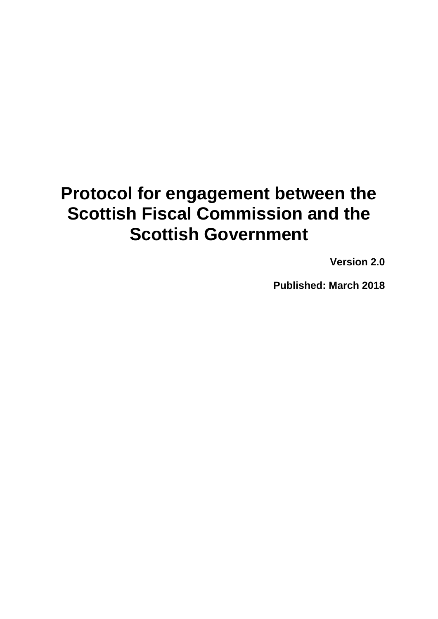# **Protocol for engagement between the Scottish Fiscal Commission and the Scottish Government**

**Version 2.0**

**Published: March 2018**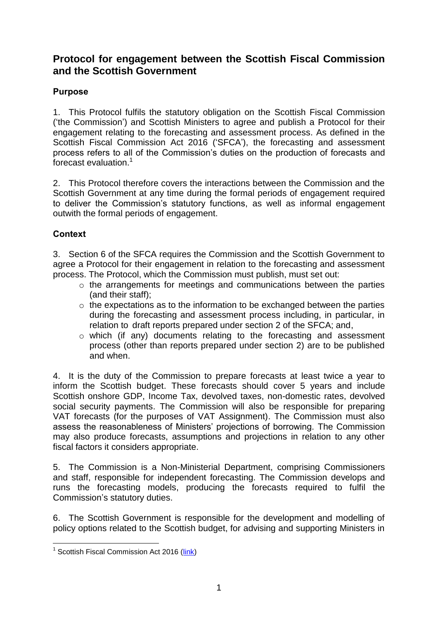# **Protocol for engagement between the Scottish Fiscal Commission and the Scottish Government**

## **Purpose**

1. This Protocol fulfils the statutory obligation on the Scottish Fiscal Commission ('the Commission') and Scottish Ministers to agree and publish a Protocol for their engagement relating to the forecasting and assessment process. As defined in the Scottish Fiscal Commission Act 2016 ('SFCA'), the forecasting and assessment process refers to all of the Commission's duties on the production of forecasts and forecast evaluation.<sup>1</sup>

2. This Protocol therefore covers the interactions between the Commission and the Scottish Government at any time during the formal periods of engagement required to deliver the Commission's statutory functions, as well as informal engagement outwith the formal periods of engagement.

## **Context**

3. Section 6 of the SFCA requires the Commission and the Scottish Government to agree a Protocol for their engagement in relation to the forecasting and assessment process. The Protocol, which the Commission must publish, must set out:

- o the arrangements for meetings and communications between the parties (and their staff);
- $\circ$  the expectations as to the information to be exchanged between the parties during the forecasting and assessment process including, in particular, in relation to draft reports prepared under section 2 of the SFCA; and,
- o which (if any) documents relating to the forecasting and assessment process (other than reports prepared under section 2) are to be published and when.

4. It is the duty of the Commission to prepare forecasts at least twice a year to inform the Scottish budget. These forecasts should cover 5 years and include Scottish onshore GDP, Income Tax, devolved taxes, non-domestic rates, devolved social security payments. The Commission will also be responsible for preparing VAT forecasts (for the purposes of VAT Assignment). The Commission must also assess the reasonableness of Ministers' projections of borrowing. The Commission may also produce forecasts, assumptions and projections in relation to any other fiscal factors it considers appropriate.

5. The Commission is a Non-Ministerial Department, comprising Commissioners and staff, responsible for independent forecasting. The Commission develops and runs the forecasting models, producing the forecasts required to fulfil the Commission's statutory duties.

6. The Scottish Government is responsible for the development and modelling of policy options related to the Scottish budget, for advising and supporting Ministers in

 1 Scottish Fiscal Commission Act 2016 [\(link\)](https://www.legislation.gov.uk/asp/2016/17/contents)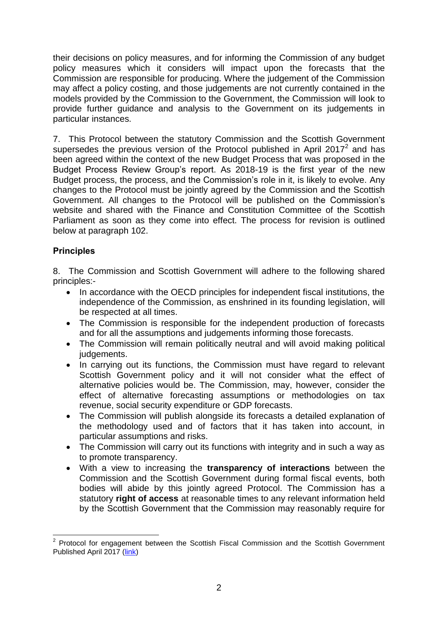their decisions on policy measures, and for informing the Commission of any budget policy measures which it considers will impact upon the forecasts that the Commission are responsible for producing. Where the judgement of the Commission may affect a policy costing, and those judgements are not currently contained in the models provided by the Commission to the Government, the Commission will look to provide further guidance and analysis to the Government on its judgements in particular instances.

7. This Protocol between the statutory Commission and the Scottish Government supersedes the previous version of the Protocol published in April 2017 $^2$  and has been agreed within the context of the new Budget Process that was proposed in the Budget Process Review Group's report. As 2018-19 is the first year of the new Budget process, the process, and the Commission's role in it, is likely to evolve. Any changes to the Protocol must be jointly agreed by the Commission and the Scottish Government. All changes to the Protocol will be published on the Commission's website and shared with the Finance and Constitution Committee of the Scottish Parliament as soon as they come into effect. The process for revision is outlined below at paragraph 102.

## **Principles**

8. The Commission and Scottish Government will adhere to the following shared principles:-

- In accordance with the OECD principles for independent fiscal institutions, the independence of the Commission, as enshrined in its founding legislation, will be respected at all times.
- The Commission is responsible for the independent production of forecasts and for all the assumptions and judgements informing those forecasts.
- The Commission will remain politically neutral and will avoid making political judgements.
- In carrying out its functions, the Commission must have regard to relevant Scottish Government policy and it will not consider what the effect of alternative policies would be. The Commission, may, however, consider the effect of alternative forecasting assumptions or methodologies on tax revenue, social security expenditure or GDP forecasts.
- The Commission will publish alongside its forecasts a detailed explanation of the methodology used and of factors that it has taken into account, in particular assumptions and risks.
- The Commission will carry out its functions with integrity and in such a way as to promote transparency.
- With a view to increasing the **transparency of interactions** between the Commission and the Scottish Government during formal fiscal events, both bodies will abide by this jointly agreed Protocol. The Commission has a statutory **right of access** at reasonable times to any relevant information held by the Scottish Government that the Commission may reasonably require for

**ENEVALLE 2**<br><sup>2</sup> Protocol for engagement between the Scottish Fiscal Commission and the Scottish Government Published April 2017 [\(link\)](http://www.fiscalcommission.scot/media/1152/protocol-for-engagement-between-the-scottish-fiscal-commission-and-the-scottish-government.pdf)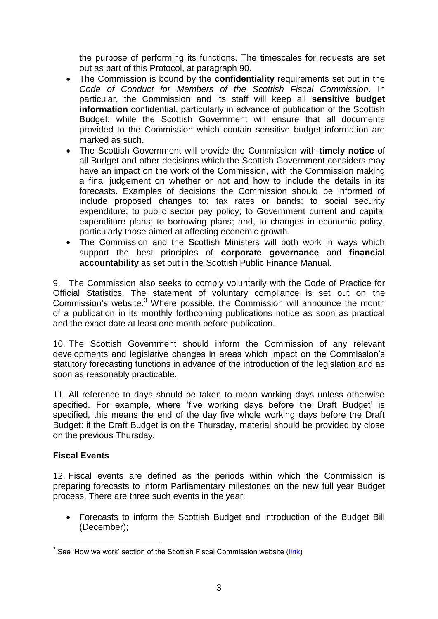the purpose of performing its functions. The timescales for requests are set out as part of this Protocol, at paragraph 90.

- The Commission is bound by the **confidentiality** requirements set out in the *Code of Conduct for Members of the Scottish Fiscal Commission*. In particular, the Commission and its staff will keep all **sensitive budget information** confidential, particularly in advance of publication of the Scottish Budget; while the Scottish Government will ensure that all documents provided to the Commission which contain sensitive budget information are marked as such.
- The Scottish Government will provide the Commission with **timely notice** of all Budget and other decisions which the Scottish Government considers may have an impact on the work of the Commission, with the Commission making a final judgement on whether or not and how to include the details in its forecasts. Examples of decisions the Commission should be informed of include proposed changes to: tax rates or bands; to social security expenditure; to public sector pay policy; to Government current and capital expenditure plans; to borrowing plans; and, to changes in economic policy, particularly those aimed at affecting economic growth.
- The Commission and the Scottish Ministers will both work in ways which support the best principles of **corporate governance** and **financial accountability** as set out in the Scottish Public Finance Manual.

9. The Commission also seeks to comply voluntarily with the Code of Practice for Official Statistics. The statement of voluntary compliance is set out on the Commission's website.<sup>3</sup> Where possible, the Commission will announce the month of a publication in its monthly forthcoming publications notice as soon as practical and the exact date at least one month before publication.

10. The Scottish Government should inform the Commission of any relevant developments and legislative changes in areas which impact on the Commission's statutory forecasting functions in advance of the introduction of the legislation and as soon as reasonably practicable.

11. All reference to days should be taken to mean working days unless otherwise specified. For example, where 'five working days before the Draft Budget' is specified, this means the end of the day five whole working days before the Draft Budget: if the Draft Budget is on the Thursday, material should be provided by close on the previous Thursday.

## **Fiscal Events**

12. Fiscal events are defined as the periods within which the Commission is preparing forecasts to inform Parliamentary milestones on the new full year Budget process. There are three such events in the year:

 Forecasts to inform the Scottish Budget and introduction of the Budget Bill (December);

 3 See 'How we work' section of the Scottish Fiscal Commission website [\(link\)](http://www.fiscalcommission.scot/about-us/how-we-work/)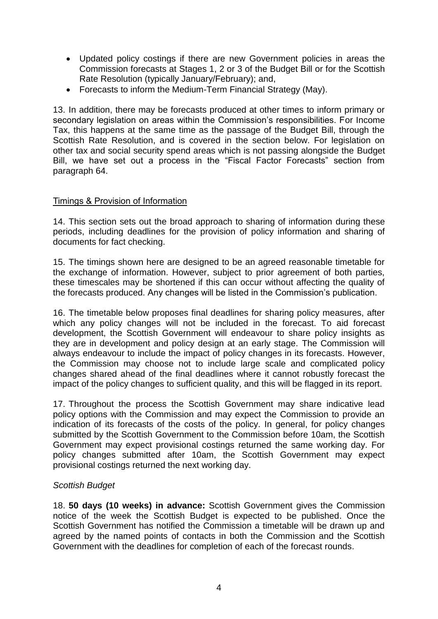- Updated policy costings if there are new Government policies in areas the Commission forecasts at Stages 1, 2 or 3 of the Budget Bill or for the Scottish Rate Resolution (typically January/February); and,
- Forecasts to inform the Medium-Term Financial Strategy (May).

13. In addition, there may be forecasts produced at other times to inform primary or secondary legislation on areas within the Commission's responsibilities. For Income Tax, this happens at the same time as the passage of the Budget Bill, through the Scottish Rate Resolution, and is covered in the section below. For legislation on other tax and social security spend areas which is not passing alongside the Budget Bill, we have set out a process in the "Fiscal Factor Forecasts" section from paragraph 64.

## Timings & Provision of Information

14. This section sets out the broad approach to sharing of information during these periods, including deadlines for the provision of policy information and sharing of documents for fact checking.

15. The timings shown here are designed to be an agreed reasonable timetable for the exchange of information. However, subject to prior agreement of both parties, these timescales may be shortened if this can occur without affecting the quality of the forecasts produced. Any changes will be listed in the Commission's publication.

16. The timetable below proposes final deadlines for sharing policy measures, after which any policy changes will not be included in the forecast. To aid forecast development, the Scottish Government will endeavour to share policy insights as they are in development and policy design at an early stage. The Commission will always endeavour to include the impact of policy changes in its forecasts. However, the Commission may choose not to include large scale and complicated policy changes shared ahead of the final deadlines where it cannot robustly forecast the impact of the policy changes to sufficient quality, and this will be flagged in its report.

17. Throughout the process the Scottish Government may share indicative lead policy options with the Commission and may expect the Commission to provide an indication of its forecasts of the costs of the policy. In general, for policy changes submitted by the Scottish Government to the Commission before 10am, the Scottish Government may expect provisional costings returned the same working day. For policy changes submitted after 10am, the Scottish Government may expect provisional costings returned the next working day.

## *Scottish Budget*

18. **50 days (10 weeks) in advance:** Scottish Government gives the Commission notice of the week the Scottish Budget is expected to be published. Once the Scottish Government has notified the Commission a timetable will be drawn up and agreed by the named points of contacts in both the Commission and the Scottish Government with the deadlines for completion of each of the forecast rounds.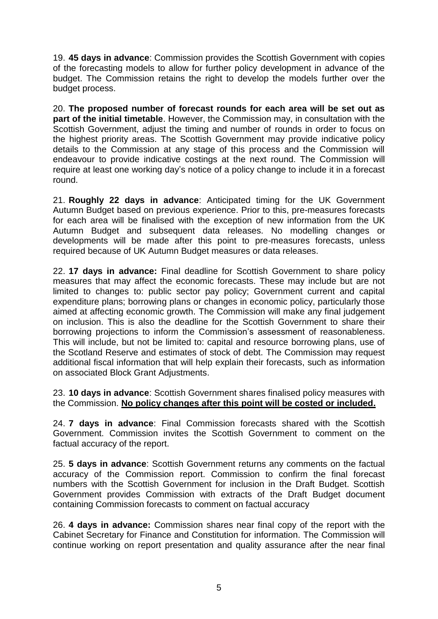19. **45 days in advance**: Commission provides the Scottish Government with copies of the forecasting models to allow for further policy development in advance of the budget. The Commission retains the right to develop the models further over the budget process.

20. **The proposed number of forecast rounds for each area will be set out as part of the initial timetable**. However, the Commission may, in consultation with the Scottish Government, adjust the timing and number of rounds in order to focus on the highest priority areas. The Scottish Government may provide indicative policy details to the Commission at any stage of this process and the Commission will endeavour to provide indicative costings at the next round. The Commission will require at least one working day's notice of a policy change to include it in a forecast round.

21. **Roughly 22 days in advance**: Anticipated timing for the UK Government Autumn Budget based on previous experience. Prior to this, pre-measures forecasts for each area will be finalised with the exception of new information from the UK Autumn Budget and subsequent data releases. No modelling changes or developments will be made after this point to pre-measures forecasts, unless required because of UK Autumn Budget measures or data releases.

22. **17 days in advance:** Final deadline for Scottish Government to share policy measures that may affect the economic forecasts. These may include but are not limited to changes to: public sector pay policy; Government current and capital expenditure plans; borrowing plans or changes in economic policy, particularly those aimed at affecting economic growth. The Commission will make any final judgement on inclusion. This is also the deadline for the Scottish Government to share their borrowing projections to inform the Commission's assessment of reasonableness. This will include, but not be limited to: capital and resource borrowing plans, use of the Scotland Reserve and estimates of stock of debt. The Commission may request additional fiscal information that will help explain their forecasts, such as information on associated Block Grant Adjustments.

23. **10 days in advance**: Scottish Government shares finalised policy measures with the Commission. **No policy changes after this point will be costed or included.**

24. **7 days in advance**: Final Commission forecasts shared with the Scottish Government. Commission invites the Scottish Government to comment on the factual accuracy of the report.

25. **5 days in advance**: Scottish Government returns any comments on the factual accuracy of the Commission report. Commission to confirm the final forecast numbers with the Scottish Government for inclusion in the Draft Budget. Scottish Government provides Commission with extracts of the Draft Budget document containing Commission forecasts to comment on factual accuracy

26. **4 days in advance:** Commission shares near final copy of the report with the Cabinet Secretary for Finance and Constitution for information. The Commission will continue working on report presentation and quality assurance after the near final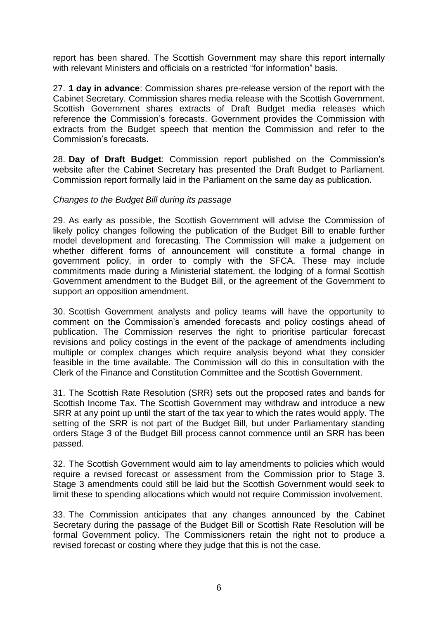report has been shared. The Scottish Government may share this report internally with relevant Ministers and officials on a restricted "for information" basis.

27. **1 day in advance**: Commission shares pre-release version of the report with the Cabinet Secretary. Commission shares media release with the Scottish Government. Scottish Government shares extracts of Draft Budget media releases which reference the Commission's forecasts. Government provides the Commission with extracts from the Budget speech that mention the Commission and refer to the Commission's forecasts.

28. **Day of Draft Budget**: Commission report published on the Commission's website after the Cabinet Secretary has presented the Draft Budget to Parliament. Commission report formally laid in the Parliament on the same day as publication.

## *Changes to the Budget Bill during its passage*

29. As early as possible, the Scottish Government will advise the Commission of likely policy changes following the publication of the Budget Bill to enable further model development and forecasting. The Commission will make a judgement on whether different forms of announcement will constitute a formal change in government policy, in order to comply with the SFCA. These may include commitments made during a Ministerial statement, the lodging of a formal Scottish Government amendment to the Budget Bill, or the agreement of the Government to support an opposition amendment.

30. Scottish Government analysts and policy teams will have the opportunity to comment on the Commission's amended forecasts and policy costings ahead of publication. The Commission reserves the right to prioritise particular forecast revisions and policy costings in the event of the package of amendments including multiple or complex changes which require analysis beyond what they consider feasible in the time available. The Commission will do this in consultation with the Clerk of the Finance and Constitution Committee and the Scottish Government.

31. The Scottish Rate Resolution (SRR) sets out the proposed rates and bands for Scottish Income Tax. The Scottish Government may withdraw and introduce a new SRR at any point up until the start of the tax year to which the rates would apply. The setting of the SRR is not part of the Budget Bill, but under Parliamentary standing orders Stage 3 of the Budget Bill process cannot commence until an SRR has been passed.

32. The Scottish Government would aim to lay amendments to policies which would require a revised forecast or assessment from the Commission prior to Stage 3. Stage 3 amendments could still be laid but the Scottish Government would seek to limit these to spending allocations which would not require Commission involvement.

33. The Commission anticipates that any changes announced by the Cabinet Secretary during the passage of the Budget Bill or Scottish Rate Resolution will be formal Government policy. The Commissioners retain the right not to produce a revised forecast or costing where they judge that this is not the case.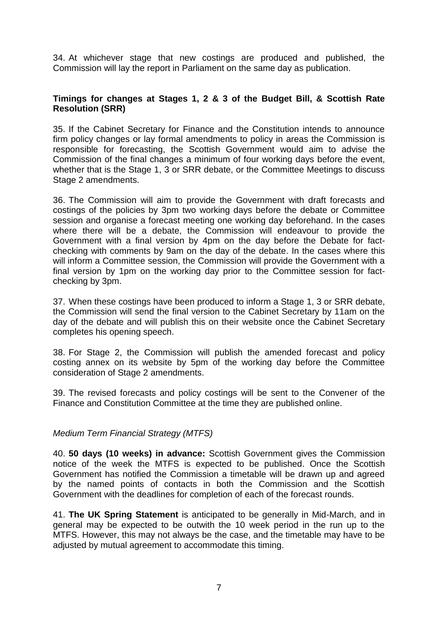34. At whichever stage that new costings are produced and published, the Commission will lay the report in Parliament on the same day as publication.

## **Timings for changes at Stages 1, 2 & 3 of the Budget Bill, & Scottish Rate Resolution (SRR)**

35. If the Cabinet Secretary for Finance and the Constitution intends to announce firm policy changes or lay formal amendments to policy in areas the Commission is responsible for forecasting, the Scottish Government would aim to advise the Commission of the final changes a minimum of four working days before the event, whether that is the Stage 1, 3 or SRR debate, or the Committee Meetings to discuss Stage 2 amendments.

36. The Commission will aim to provide the Government with draft forecasts and costings of the policies by 3pm two working days before the debate or Committee session and organise a forecast meeting one working day beforehand. In the cases where there will be a debate, the Commission will endeavour to provide the Government with a final version by 4pm on the day before the Debate for factchecking with comments by 9am on the day of the debate. In the cases where this will inform a Committee session, the Commission will provide the Government with a final version by 1pm on the working day prior to the Committee session for factchecking by 3pm.

37. When these costings have been produced to inform a Stage 1, 3 or SRR debate, the Commission will send the final version to the Cabinet Secretary by 11am on the day of the debate and will publish this on their website once the Cabinet Secretary completes his opening speech.

38. For Stage 2, the Commission will publish the amended forecast and policy costing annex on its website by 5pm of the working day before the Committee consideration of Stage 2 amendments.

39. The revised forecasts and policy costings will be sent to the Convener of the Finance and Constitution Committee at the time they are published online.

## *Medium Term Financial Strategy (MTFS)*

40. **50 days (10 weeks) in advance:** Scottish Government gives the Commission notice of the week the MTFS is expected to be published. Once the Scottish Government has notified the Commission a timetable will be drawn up and agreed by the named points of contacts in both the Commission and the Scottish Government with the deadlines for completion of each of the forecast rounds.

41. **The UK Spring Statement** is anticipated to be generally in Mid-March, and in general may be expected to be outwith the 10 week period in the run up to the MTFS. However, this may not always be the case, and the timetable may have to be adjusted by mutual agreement to accommodate this timing.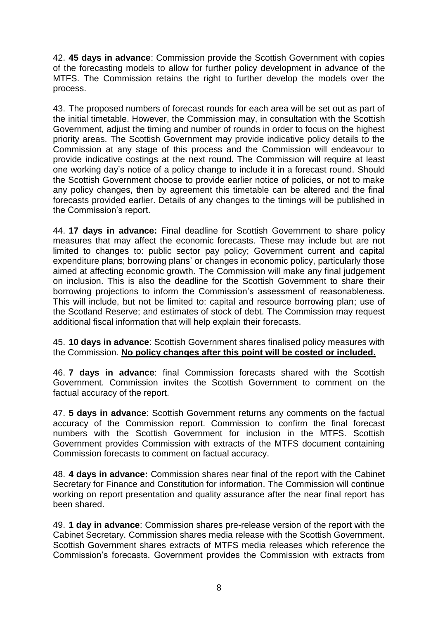42. **45 days in advance**: Commission provide the Scottish Government with copies of the forecasting models to allow for further policy development in advance of the MTFS. The Commission retains the right to further develop the models over the process.

43. The proposed numbers of forecast rounds for each area will be set out as part of the initial timetable. However, the Commission may, in consultation with the Scottish Government, adjust the timing and number of rounds in order to focus on the highest priority areas. The Scottish Government may provide indicative policy details to the Commission at any stage of this process and the Commission will endeavour to provide indicative costings at the next round. The Commission will require at least one working day's notice of a policy change to include it in a forecast round. Should the Scottish Government choose to provide earlier notice of policies, or not to make any policy changes, then by agreement this timetable can be altered and the final forecasts provided earlier. Details of any changes to the timings will be published in the Commission's report.

44. **17 days in advance:** Final deadline for Scottish Government to share policy measures that may affect the economic forecasts. These may include but are not limited to changes to: public sector pay policy; Government current and capital expenditure plans; borrowing plans' or changes in economic policy, particularly those aimed at affecting economic growth. The Commission will make any final judgement on inclusion. This is also the deadline for the Scottish Government to share their borrowing projections to inform the Commission's assessment of reasonableness. This will include, but not be limited to: capital and resource borrowing plan; use of the Scotland Reserve; and estimates of stock of debt. The Commission may request additional fiscal information that will help explain their forecasts.

45. **10 days in advance**: Scottish Government shares finalised policy measures with the Commission. **No policy changes after this point will be costed or included.**

46. **7 days in advance**: final Commission forecasts shared with the Scottish Government. Commission invites the Scottish Government to comment on the factual accuracy of the report.

47. **5 days in advance**: Scottish Government returns any comments on the factual accuracy of the Commission report. Commission to confirm the final forecast numbers with the Scottish Government for inclusion in the MTFS. Scottish Government provides Commission with extracts of the MTFS document containing Commission forecasts to comment on factual accuracy.

48. **4 days in advance:** Commission shares near final of the report with the Cabinet Secretary for Finance and Constitution for information. The Commission will continue working on report presentation and quality assurance after the near final report has been shared.

49. **1 day in advance**: Commission shares pre-release version of the report with the Cabinet Secretary. Commission shares media release with the Scottish Government. Scottish Government shares extracts of MTFS media releases which reference the Commission's forecasts. Government provides the Commission with extracts from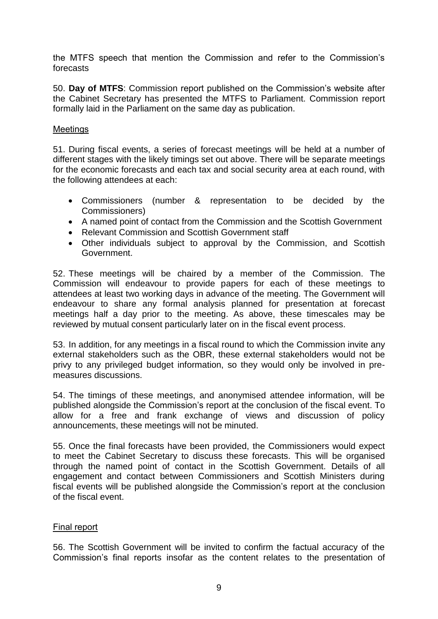the MTFS speech that mention the Commission and refer to the Commission's forecasts

50. **Day of MTFS**: Commission report published on the Commission's website after the Cabinet Secretary has presented the MTFS to Parliament. Commission report formally laid in the Parliament on the same day as publication.

#### Meetings

51. During fiscal events, a series of forecast meetings will be held at a number of different stages with the likely timings set out above. There will be separate meetings for the economic forecasts and each tax and social security area at each round, with the following attendees at each:

- Commissioners (number & representation to be decided by the Commissioners)
- A named point of contact from the Commission and the Scottish Government
- Relevant Commission and Scottish Government staff
- Other individuals subject to approval by the Commission, and Scottish Government.

52. These meetings will be chaired by a member of the Commission. The Commission will endeavour to provide papers for each of these meetings to attendees at least two working days in advance of the meeting. The Government will endeavour to share any formal analysis planned for presentation at forecast meetings half a day prior to the meeting. As above, these timescales may be reviewed by mutual consent particularly later on in the fiscal event process.

53. In addition, for any meetings in a fiscal round to which the Commission invite any external stakeholders such as the OBR, these external stakeholders would not be privy to any privileged budget information, so they would only be involved in premeasures discussions.

54. The timings of these meetings, and anonymised attendee information, will be published alongside the Commission's report at the conclusion of the fiscal event. To allow for a free and frank exchange of views and discussion of policy announcements, these meetings will not be minuted.

55. Once the final forecasts have been provided, the Commissioners would expect to meet the Cabinet Secretary to discuss these forecasts. This will be organised through the named point of contact in the Scottish Government. Details of all engagement and contact between Commissioners and Scottish Ministers during fiscal events will be published alongside the Commission's report at the conclusion of the fiscal event.

## Final report

56. The Scottish Government will be invited to confirm the factual accuracy of the Commission's final reports insofar as the content relates to the presentation of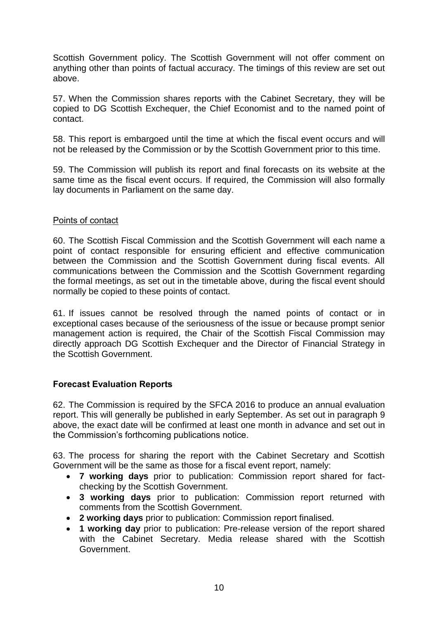Scottish Government policy. The Scottish Government will not offer comment on anything other than points of factual accuracy. The timings of this review are set out above.

57. When the Commission shares reports with the Cabinet Secretary, they will be copied to DG Scottish Exchequer, the Chief Economist and to the named point of contact.

58. This report is embargoed until the time at which the fiscal event occurs and will not be released by the Commission or by the Scottish Government prior to this time.

59. The Commission will publish its report and final forecasts on its website at the same time as the fiscal event occurs. If required, the Commission will also formally lay documents in Parliament on the same day.

## Points of contact

60. The Scottish Fiscal Commission and the Scottish Government will each name a point of contact responsible for ensuring efficient and effective communication between the Commission and the Scottish Government during fiscal events. All communications between the Commission and the Scottish Government regarding the formal meetings, as set out in the timetable above, during the fiscal event should normally be copied to these points of contact.

61. If issues cannot be resolved through the named points of contact or in exceptional cases because of the seriousness of the issue or because prompt senior management action is required, the Chair of the Scottish Fiscal Commission may directly approach DG Scottish Exchequer and the Director of Financial Strategy in the Scottish Government.

## **Forecast Evaluation Reports**

62. The Commission is required by the SFCA 2016 to produce an annual evaluation report. This will generally be published in early September. As set out in paragraph 9 above, the exact date will be confirmed at least one month in advance and set out in the Commission's forthcoming publications notice.

63. The process for sharing the report with the Cabinet Secretary and Scottish Government will be the same as those for a fiscal event report, namely:

- **7 working days** prior to publication: Commission report shared for factchecking by the Scottish Government.
- **3 working days** prior to publication: Commission report returned with comments from the Scottish Government.
- **2 working days** prior to publication: Commission report finalised.
- **1 working day** prior to publication: Pre-release version of the report shared with the Cabinet Secretary. Media release shared with the Scottish Government.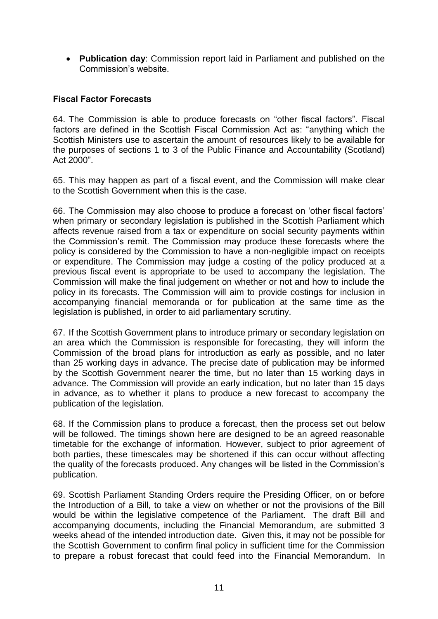**Publication day**: Commission report laid in Parliament and published on the Commission's website.

## **Fiscal Factor Forecasts**

64. The Commission is able to produce forecasts on "other fiscal factors". Fiscal factors are defined in the Scottish Fiscal Commission Act as: "anything which the Scottish Ministers use to ascertain the amount of resources likely to be available for the purposes of sections 1 to 3 of the Public Finance and Accountability (Scotland) Act 2000".

65. This may happen as part of a fiscal event, and the Commission will make clear to the Scottish Government when this is the case.

66. The Commission may also choose to produce a forecast on 'other fiscal factors' when primary or secondary legislation is published in the Scottish Parliament which affects revenue raised from a tax or expenditure on social security payments within the Commission's remit. The Commission may produce these forecasts where the policy is considered by the Commission to have a non-negligible impact on receipts or expenditure. The Commission may judge a costing of the policy produced at a previous fiscal event is appropriate to be used to accompany the legislation. The Commission will make the final judgement on whether or not and how to include the policy in its forecasts. The Commission will aim to provide costings for inclusion in accompanying financial memoranda or for publication at the same time as the legislation is published, in order to aid parliamentary scrutiny.

67. If the Scottish Government plans to introduce primary or secondary legislation on an area which the Commission is responsible for forecasting, they will inform the Commission of the broad plans for introduction as early as possible, and no later than 25 working days in advance. The precise date of publication may be informed by the Scottish Government nearer the time, but no later than 15 working days in advance. The Commission will provide an early indication, but no later than 15 days in advance, as to whether it plans to produce a new forecast to accompany the publication of the legislation.

68. If the Commission plans to produce a forecast, then the process set out below will be followed. The timings shown here are designed to be an agreed reasonable timetable for the exchange of information. However, subject to prior agreement of both parties, these timescales may be shortened if this can occur without affecting the quality of the forecasts produced. Any changes will be listed in the Commission's publication.

69. Scottish Parliament Standing Orders require the Presiding Officer, on or before the Introduction of a Bill, to take a view on whether or not the provisions of the Bill would be within the legislative competence of the Parliament. The draft Bill and accompanying documents, including the Financial Memorandum, are submitted 3 weeks ahead of the intended introduction date. Given this, it may not be possible for the Scottish Government to confirm final policy in sufficient time for the Commission to prepare a robust forecast that could feed into the Financial Memorandum. In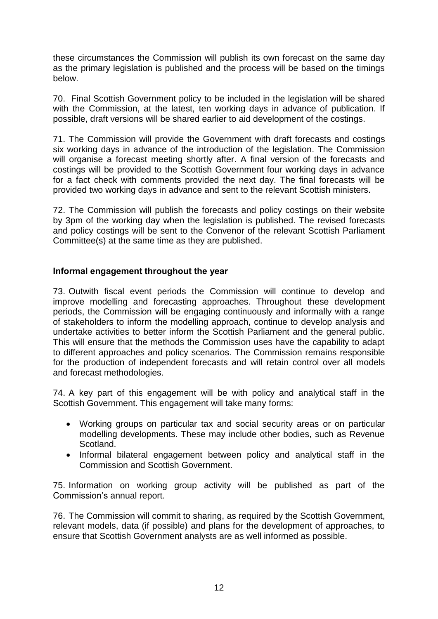these circumstances the Commission will publish its own forecast on the same day as the primary legislation is published and the process will be based on the timings below.

70. Final Scottish Government policy to be included in the legislation will be shared with the Commission, at the latest, ten working days in advance of publication. If possible, draft versions will be shared earlier to aid development of the costings.

71. The Commission will provide the Government with draft forecasts and costings six working days in advance of the introduction of the legislation. The Commission will organise a forecast meeting shortly after. A final version of the forecasts and costings will be provided to the Scottish Government four working days in advance for a fact check with comments provided the next day. The final forecasts will be provided two working days in advance and sent to the relevant Scottish ministers.

72. The Commission will publish the forecasts and policy costings on their website by 3pm of the working day when the legislation is published. The revised forecasts and policy costings will be sent to the Convenor of the relevant Scottish Parliament Committee(s) at the same time as they are published.

## **Informal engagement throughout the year**

73. Outwith fiscal event periods the Commission will continue to develop and improve modelling and forecasting approaches. Throughout these development periods, the Commission will be engaging continuously and informally with a range of stakeholders to inform the modelling approach, continue to develop analysis and undertake activities to better inform the Scottish Parliament and the general public. This will ensure that the methods the Commission uses have the capability to adapt to different approaches and policy scenarios. The Commission remains responsible for the production of independent forecasts and will retain control over all models and forecast methodologies.

74. A key part of this engagement will be with policy and analytical staff in the Scottish Government. This engagement will take many forms:

- Working groups on particular tax and social security areas or on particular modelling developments. These may include other bodies, such as Revenue Scotland.
- Informal bilateral engagement between policy and analytical staff in the Commission and Scottish Government.

75. Information on working group activity will be published as part of the Commission's annual report.

76. The Commission will commit to sharing, as required by the Scottish Government, relevant models, data (if possible) and plans for the development of approaches, to ensure that Scottish Government analysts are as well informed as possible.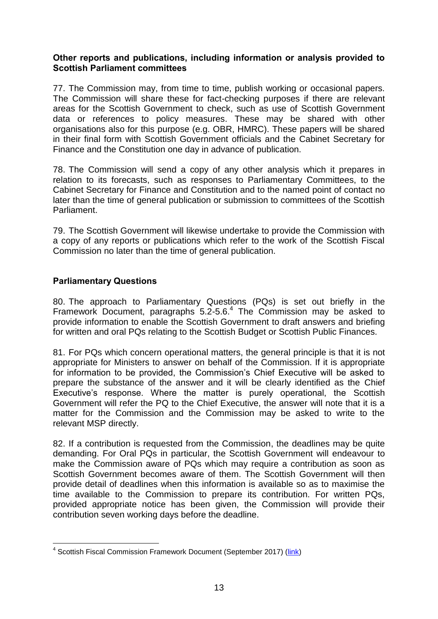## **Other reports and publications, including information or analysis provided to Scottish Parliament committees**

77. The Commission may, from time to time, publish working or occasional papers. The Commission will share these for fact-checking purposes if there are relevant areas for the Scottish Government to check, such as use of Scottish Government data or references to policy measures. These may be shared with other organisations also for this purpose (e.g. OBR, HMRC). These papers will be shared in their final form with Scottish Government officials and the Cabinet Secretary for Finance and the Constitution one day in advance of publication.

78. The Commission will send a copy of any other analysis which it prepares in relation to its forecasts, such as responses to Parliamentary Committees, to the Cabinet Secretary for Finance and Constitution and to the named point of contact no later than the time of general publication or submission to committees of the Scottish Parliament.

79. The Scottish Government will likewise undertake to provide the Commission with a copy of any reports or publications which refer to the work of the Scottish Fiscal Commission no later than the time of general publication.

## **Parliamentary Questions**

1

80. The approach to Parliamentary Questions (PQs) is set out briefly in the Framework Document, paragraphs 5.2-5.6.<sup>4</sup> The Commission may be asked to provide information to enable the Scottish Government to draft answers and briefing for written and oral PQs relating to the Scottish Budget or Scottish Public Finances.

81. For PQs which concern operational matters, the general principle is that it is not appropriate for Ministers to answer on behalf of the Commission. If it is appropriate for information to be provided, the Commission's Chief Executive will be asked to prepare the substance of the answer and it will be clearly identified as the Chief Executive's response. Where the matter is purely operational, the Scottish Government will refer the PQ to the Chief Executive, the answer will note that it is a matter for the Commission and the Commission may be asked to write to the relevant MSP directly.

82. If a contribution is requested from the Commission, the deadlines may be quite demanding. For Oral PQs in particular, the Scottish Government will endeavour to make the Commission aware of PQs which may require a contribution as soon as Scottish Government becomes aware of them. The Scottish Government will then provide detail of deadlines when this information is available so as to maximise the time available to the Commission to prepare its contribution. For written PQs, provided appropriate notice has been given, the Commission will provide their contribution seven working days before the deadline.

<sup>&</sup>lt;sup>4</sup> Scottish Fiscal Commission Framework Document (September 2017) [\(link\)](http://www.fiscalcommission.scot/media/1189/scottish-fiscal-commission-governance-framework-document.pdf)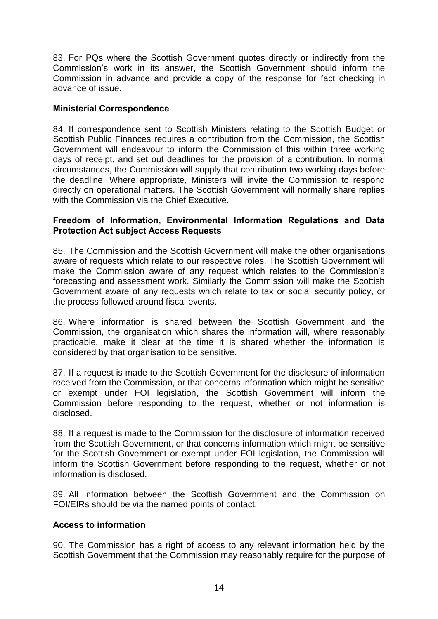83. For PQs where the Scottish Government quotes directly or indirectly from the Commission's work in its answer, the Scottish Government should inform the Commission in advance and provide a copy of the response for fact checking in advance of issue.

## **Ministerial Correspondence**

84. If correspondence sent to Scottish Ministers relating to the Scottish Budget or Scottish Public Finances requires a contribution from the Commission, the Scottish Government will endeavour to inform the Commission of this within three working days of receipt, and set out deadlines for the provision of a contribution. In normal circumstances, the Commission will supply that contribution two working days before the deadline. Where appropriate, Ministers will invite the Commission to respond directly on operational matters. The Scottish Government will normally share replies with the Commission via the Chief Executive.

## **Freedom of Information, Environmental Information Regulations and Data Protection Act subject Access Requests**

85. The Commission and the Scottish Government will make the other organisations aware of requests which relate to our respective roles. The Scottish Government will make the Commission aware of any request which relates to the Commission's forecasting and assessment work. Similarly the Commission will make the Scottish Government aware of any requests which relate to tax or social security policy, or the process followed around fiscal events.

86. Where information is shared between the Scottish Government and the Commission, the organisation which shares the information will, where reasonably practicable, make it clear at the time it is shared whether the information is considered by that organisation to be sensitive.

87. If a request is made to the Scottish Government for the disclosure of information received from the Commission, or that concerns information which might be sensitive or exempt under FOI legislation, the Scottish Government will inform the Commission before responding to the request, whether or not information is disclosed.

88. If a request is made to the Commission for the disclosure of information received from the Scottish Government, or that concerns information which might be sensitive for the Scottish Government or exempt under FOI legislation, the Commission will inform the Scottish Government before responding to the request, whether or not information is disclosed.

89. All information between the Scottish Government and the Commission on FOI/EIRs should be via the named points of contact.

## **Access to information**

90. The Commission has a right of access to any relevant information held by the Scottish Government that the Commission may reasonably require for the purpose of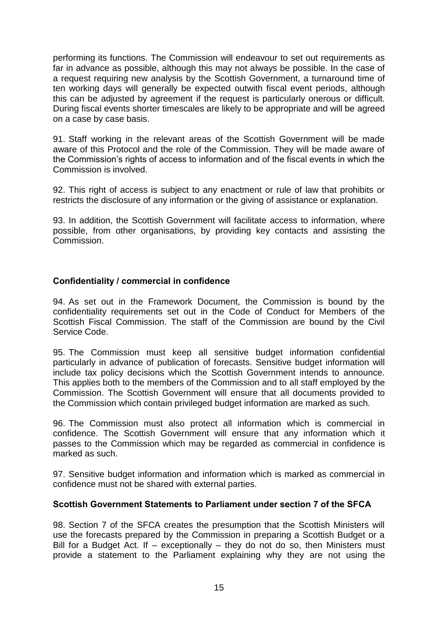performing its functions. The Commission will endeavour to set out requirements as far in advance as possible, although this may not always be possible. In the case of a request requiring new analysis by the Scottish Government, a turnaround time of ten working days will generally be expected outwith fiscal event periods, although this can be adjusted by agreement if the request is particularly onerous or difficult. During fiscal events shorter timescales are likely to be appropriate and will be agreed on a case by case basis.

91. Staff working in the relevant areas of the Scottish Government will be made aware of this Protocol and the role of the Commission. They will be made aware of the Commission's rights of access to information and of the fiscal events in which the Commission is involved.

92. This right of access is subject to any enactment or rule of law that prohibits or restricts the disclosure of any information or the giving of assistance or explanation.

93. In addition, the Scottish Government will facilitate access to information, where possible, from other organisations, by providing key contacts and assisting the Commission.

## **Confidentiality / commercial in confidence**

94. As set out in the Framework Document, the Commission is bound by the confidentiality requirements set out in the Code of Conduct for Members of the Scottish Fiscal Commission. The staff of the Commission are bound by the Civil Service Code.

95. The Commission must keep all sensitive budget information confidential particularly in advance of publication of forecasts. Sensitive budget information will include tax policy decisions which the Scottish Government intends to announce. This applies both to the members of the Commission and to all staff employed by the Commission. The Scottish Government will ensure that all documents provided to the Commission which contain privileged budget information are marked as such.

96. The Commission must also protect all information which is commercial in confidence. The Scottish Government will ensure that any information which it passes to the Commission which may be regarded as commercial in confidence is marked as such.

97. Sensitive budget information and information which is marked as commercial in confidence must not be shared with external parties.

## **Scottish Government Statements to Parliament under section 7 of the SFCA**

98. Section 7 of the SFCA creates the presumption that the Scottish Ministers will use the forecasts prepared by the Commission in preparing a Scottish Budget or a Bill for a Budget Act. If – exceptionally – they do not do so, then Ministers must provide a statement to the Parliament explaining why they are not using the